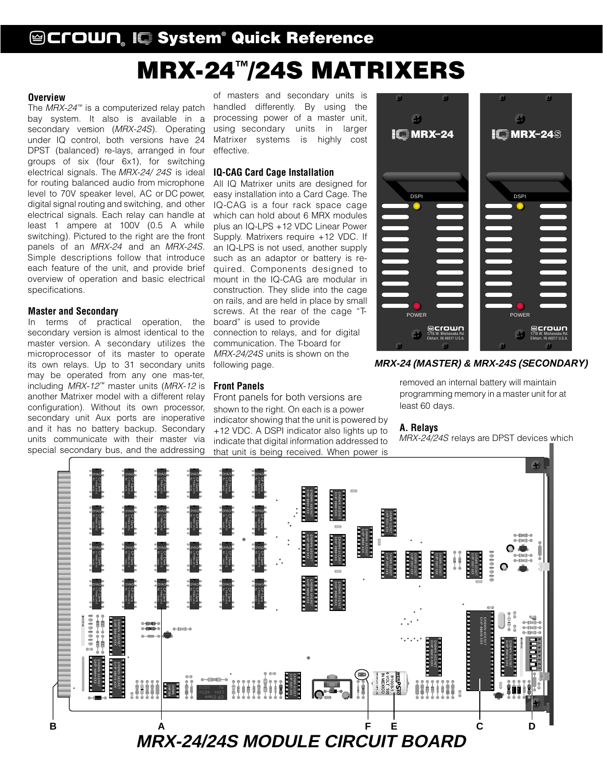## **@Crown, I@ System® Quick Reference**

# **MRX-24™/24S MATRIXERS**

#### **Overview**

The  $MRX$ -24<sup> $m$ </sup> is a computerized relay patch bay system. It also is available in a secondary version (MRX-24S). Operating under IQ control, both versions have 24 DPST (balanced) re-lays, arranged in four groups of six (four 6x1), for switching electrical signals. The MRX-24/ 24S is ideal for routing balanced audio from microphone level to 70V speaker level, AC or DC power, digital signal routing and switching, and other electrical signals. Each relay can handle at least 1 ampere at 100V (0.5 A while switching). Pictured to the right are the front panels of an MRX-24 and an MRX-24S. Simple descriptions follow that introduce each feature of the unit, and provide brief overview of operation and basic electrical specifications.

#### **Master and Secondary**

In terms of practical operation, the secondary version is almost identical to the master version. A secondary utilizes the microprocessor of its master to operate its own relays. Up to 31 secondary units may be operated from any one mas-ter, including MRX-12 ™ master units (MRX-12 is another Matrixer model with a different relay configuration). Without its own processor, secondary unit Aux ports are inoperative and it has no battery backup. Secondary units communicate with their master via special secondary bus, and the addressing

of masters and secondary units is handled differently. By using the processing power of a master unit, using secondary units in larger Matrixer systems is highly cost effective.

#### **IQ-CAG Card Cage Installation**

All IQ Matrixer units are designed for easy installation into a Card Cage. The IQ-CAG is a four rack space cage which can hold about 6 MRX modules plus an IQ-LPS +12 VDC Linear Power Supply. Matrixers require +12 VDC. If an IQ-LPS is not used, another supply such as an adaptor or battery is required. Components designed to mount in the IQ-CAG are modular in construction. They slide into the cage on rails, and are held in place by small screws. At the rear of the cage "Tboard" is used to provide connection to relays, and for digital communication. The T-board for MRX-24/24S units is shown on the following page.

#### **Front Panels**

Front panels for both versions are shown to the right. On each is a power indicator showing that the unit is powered by +12 VDC. A DSPI indicator also lights up to indicate that digital information addressed to that unit is being received. When power is



#### **MRX-24 (MASTER) & MRX-24S (S***ECONDARY***)**

removed an internal battery will maintain programming memory in a master unit for at least 60 days.

#### **A. Relays**

MRX-24/24S relays are DPST devices which

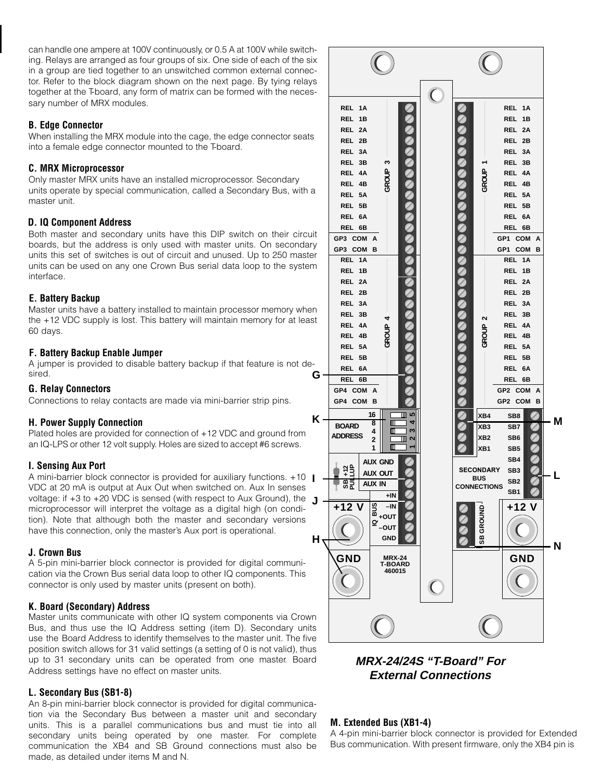can handle one ampere at 100V continuously, or 0.5 A at 100V while switching. Relays are arranged as four groups of six. One side of each of the six in a group are tied together to an unswitched common external connector. Refer to the block diagram shown on the next page. By tying relays together at the T-board, any form of matrix can be formed with the necessary number of MRX modules.

#### **B. Edge Connector**

When installing the MRX module into the cage, the edge connector seats into a female edge connector mounted to the T-board.

#### **C. MRX Microprocessor**

Only master MRX units have an installed microprocessor. Secondary units operate by special communication, called a Secondary Bus, with a master unit.

#### **D. IQ Component Address**

Both master and secondary units have this DIP switch on their circuit boards, but the address is only used with master units. On secondary units this set of switches is out of circuit and unused. Up to 250 master units can be used on any one Crown Bus serial data loop to the system interface.

#### **E. Battery Backup**

Master units have a battery installed to maintain processor memory when the +12 VDC supply is lost. This battery will maintain memory for at least 60 days.

#### **F. Battery Backup Enable Jumper**

**G** A jumper is provided to disable battery backup if that feature is not desired.

#### **G. Relay Connectors**

Connections to relay contacts are made via mini-barrier strip pins.

#### **H. Power Supply Connection**

Plated holes are provided for connection of +12 VDC and ground from an IQ-LPS or other 12 volt supply. Holes are sized to accept #6 screws.

#### **I. Sensing Aux Port**

A mini-barrier block connector is provided for auxiliary functions. +10 | **J** VDC at 20 mA is output at Aux Out when switched on. Aux In senses voltage: if +3 to +20 VDC is sensed (with respect to Aux Ground), the microprocessor will interpret the voltage as a digital high (on condition). Note that although both the master and secondary versions have this connection, only the master's Aux port is operational.

#### **J. Crown Bus**

A 5-pin mini-barrier block connector is provided for digital communication via the Crown Bus serial data loop to other IQ components. This connector is only used by master units (present on both).

#### **K. Board (Secondary) Address**

Master units communicate with other IQ system components via Crown Bus, and thus use the IQ Address setting (item D). Secondary units use the Board Address to identify themselves to the master unit. The five position switch allows for 31 valid settings (a setting of 0 is not valid), thus up to 31 secondary units can be operated from one master. Board Address settings have no effect on master units.

#### **L. Secondary Bus (SB1-8)**

An 8-pin mini-barrier block connector is provided for digital communication via the Secondary Bus between a master unit and secondary units. This is a parallel communications bus and must tie into all secondary units being operated by one master. For complete communication the XB4 and SB Ground connections must also be made, as detailed under items M and N.



**MRX-24/24S "T-Board" For External Connections**

#### **M. Extended Bus (XB1-4)**

A 4-pin mini-barrier block connector is provided for Extended Bus communication. With present firmware, only the XB4 pin is